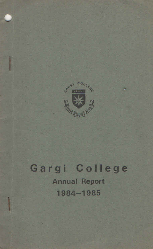

٠.

## Gargi College **Annual Report** 1984-1985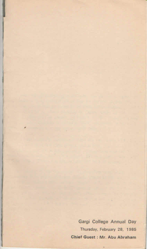Gargi College Annual Day Thursday, February 28, 1985 Chief Guest : Mr. Abu Abraham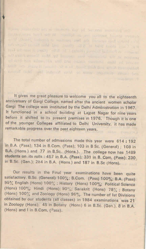It gives me great pleasure to welcome you all to the eighteenth anniversary of Gargi College, named after the ancient women scholar Gargi The college was instituted by the Delhi Administration in 1967. It functioned in a school building at Lajpat Nagar for nine years before it shifted to its present premises in 1976. Though it is one of the younger Colleges affiliated to Delhi University, it has made remarkable progress over the past eighteen years.

on the party served that the control and complete Members

position in the University was caused by Michigan I and the

amount capital and induced with a very student less than a firm

The total number of admissions made this year were 614:192 in B.A. (Pass); 134 in B.Com. (Pass); 103 in B Sc. (General) ; 108 in B.A. (Hons) and 77 in B.Sc. (Hons.). The college now has 1489 students on its rolls : 457 in B.A. (Pass); 331 in B. Com. (Pass); 230 in B.Sc. (Gen.); 284 in B.A. (Hons.) and 187 in B.Sc (Hons).

Our results in the Final year examinations have been quite satisfactory. B.Sc. (General) 100%; B.Com. (Pass) 100%; B.A. (Pass). 95% English (Hons) 100%; History (Hons) 100%; Political Science (Hons) 100%; Hindi (Hons); 90%; Sanskrit (Hons) 78%; Botany (Hons) 100% and Zoology (Hons) 96%. The number of 1st Divisions obtained by our students (all classes) in 1984 examinations was 21 in Zoology (Hons); 45 in Botany (Hons) 6 in B.Sc. (Gen.), 8 in B.A. (Hons) and I in B.Com. (Pass).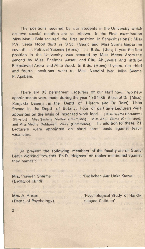The positions secured by our students in the University which deserve special mention are as follows. In the Final examination Miss Manju Bala secured the first position in Sanskrit (Hons); Miss P.V. Leela stood third in B Sc. (Gen); and Miss Sunita Gupta the seventh in Political Science (Hons); In B.Sc. (Gen) II year the first position in the University was secured by Miss Meenu Arora the second by Miss Shehnaz Ansari and Ritu Ahluwalia and fifth by Rakeshwari Arora and Alita Sood. In B.Sc. (Hons) II years, the third and fourth positions went to Miss Nandini Iyer, Miss Seema P. Ajaibani.

There are 93 permanent Lecturers on our staff now. Two new appointments were made during the year 1984-85, those of Dr. (Miss) Sanjukta Banerji in the Deptt. of History and Dr (Mrs) Usha Prasad in the Deptt. of Botany. Four of part time Lecturers were appointed on the basis of increased work-load. [Miss Seema Bharadwaj (Physics) ; Miss Sushma Mattoo (Chemistry); Miss Anju Gupta (Commerce); and Miss Medha Dubhanshi Vinze (Commerce)]. In addition to these, 21 Lecturers were appointed on short term basis against leave vacancies.

At present the following members of the faculty are on Study Leave working towards Ph.D. degrees on topics mentioned against their names of No8.8 of 181 ban (anoth) A 8 of a 3 (mail of 8 n

(Deptt, of Hindi)

Mrs. Praveen Sharma 's 'Bachchan Aur Unka Kavya'

capped Children' ( Deptt. of Psychology) Mrs. A. Ansari

: 'Psychological Study of Handi-

2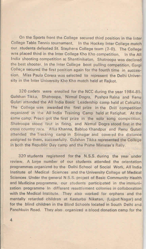On the Sports front the College secured third position in the Inter College Table Tennis tournament. In the Hockey Inter College match our students defeated St. Stephens College team (3-0). The College was placed third in the Inter College Kho Kho competition. In the All India shooting competition at Shantiniketan, Shatroopa was declared the best shooter. In the Inter College boat pulling competition, Gargi College secured the first position again for the fourth time in succession. Miss Paula Corera was selected to represent the Delhi University in the Inter University Kho Kho match held at Rajkot.

320 cadets were enrolled for the NCC during the year 1984-85. Gulshan Tikka, Shatroopa, Nirmal Dogra, Pushpa Raina and Renu Gulati attended the All India Basic Leadership camp held at Calcutta. The College was awarded the first prize in the Drill competition organized in the All India Training Camp held at Ratighat. At the same camp, Preeti got the first prize in the solo song competition, Shatroopa stood first in firing, and Nirmal Dogra stood first in the cross country race. Alka Khanna, Babloo Khandpur and Renu Gulati attended the Trecking camp in Srinagar and covered the distance assigned to them, successfully. Gulshan Tikka represented the College in both the Republic Day camp and the Prime Minister's Rally.

320 students registered for the N.S.S. during the year under review. A large number of our students attended the orientation programmes organized by the Delhi School of Social Work, All India Institute of Medical Sciences and the University College of Medical Sciences Under the general N.S.S. project of Basic Community Health and Medicine programme, our students participated in the immunization programme In different resettiement colonies in collaboration with the Medical Institute. They also worked for orphans and the mentally retarded children at Kasturba Niketan, (Laipat Nagar) and for the blind children in the Blind Schools located in South Delhi and Panchkuin Road. They also organized a blood donation camp for the

 $\overline{4}$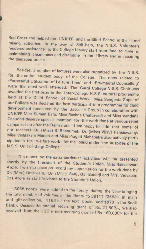Red Cross and helped the UNICEF and the Blind School in their fund raising activities. In the way of Self-help, the N.S.S. Volunteers rendered assistance to the College Library staff from time to time in maintaining cleanliness and discipline in the Library and in repairing the damaged books.

Besides, a number of lectures were also organized by the N.S.S. for the entire student body of the College. The ones related to 'Purposeful Utilization of Leisure Time' and 'Pre-marital Counselling' were the most well attended. The Gargi College N.S.S. Choir was awarded the first prize in the Inter-College N.S.S. cultural programme held at the Delhi School of Social Work Miss Sangeeta Gopal of our College was declared the best participant in a programme for child development sponsored by the Jaycee's Group in collaboration with UNICEF Miss Suman Bala, Miss Rachna Chaturvedi and Miss Vandana Chaudhri deserve special mention for the work done at various relief camps set up after the Delhi riots. I am happy to add that some of our teachers Dr. (Miss) S. Bhanumati, Dr. (Miss) Vijaya Ramaswamy, Miss Vishlakshi Menon and Miss Pragati Mahapatra also actively participated in the welfare work for the blind under the auspices of the N.S.S. Unit of Gargi College.

The report on the extra-curricular activities will be presented shortly by the President of the Student's Union, Miss Rakeshwari Arora. I wish to place on record my appreciation for the work done by Dr. (Mrs.) Uma Jain, Dr. (Miss) Sanjukta Banerji and Mrs. Vidyabati Das Arora as staff Advisors to the Student's Union.

3065 books were added to the library during the year-bringing the total number of volumes in the library to 39117 (35981 in main and gift collection, 1166 in the text books and 1970 in the Book Bank). Besides the annual recurring grant of Rs. 21,500/-, we also received from the UGC a non-recurring grant of Rs. 60,000/- for the

**B. Alexandrian**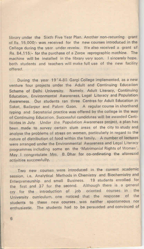library under the Sixth Five Year Plan. Another non-recurring grant of Rs. 15,000/- was received for the new courses introduced in the Cellege during the year under reveiw. We also received a grant of Rs. 84.115/- for the purchase of a Zerox reprographic machine. The machine will be installed in the library very soon. I sincerely hope, both students and teachers will make full use of the new facility offered. The contract of the contract of the contract of the contract of the contract of the contract of the contract of the contract of the contract of the contract of the contract of the contract of the contract of the c

During the year 19°4-85 Gargi College implemented, as a new venture four projects under the Adult and Continuing Education Scheme of Delhi University. Namely, Adult Literacy, Continuing Education, Environmental Awareness, Legal Literacy and Population Awareness. Our students ran three Centres for Adult Education in Saket, Badarpur and Palam Gaon. A regular course in shorthand typing and Secretarial practice was offered by the college in the way of Continuing Education. Successful candidates will be awarded Certificates in July. Under the Population Awareness project, a plan has been made to survey certain slum areas of the city to study and analyse the problems of stress on women, particularly in regard to the nature of distribution of food within the family. A number of lectures were arranged under the Environmental Awareness and Legal Literacy programmes including some on the 'Matrimonial Rights of Women'. May I congratulate Mrs. B. Dhar for co-ordinating the aforesaid activities successfully.

Two new courses were introduced in the current academic session, i.e. Analytical Methods in Chemistry and Biochemistry and Enterpreneurship and small Business. 19 students enrolled for the first and 37 for the second. Although there is a general cry for the introduction of job oriented courses in the University curriculum, one noticed that the response of the students to these new courses was neither spontaneous nor enthusiastic. The students had to be persuaded and convinced of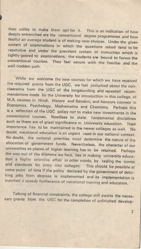their utility to make them opt for it. This is an indication of how deeply entrenched are the conventional degree programmes and how fearful an average student is of making new choices. Under the given system of examinations in which the questions asked tend to be repetative and under the prevalent system of instruction which is tightly geared to examinations, the students are bound to favour the conventional courses. They feel secure with the familiar and the well trodden path.

While we welcome the new courses for which we have received the required grants from the UGC, we feel perturbed about the nonclearance from the UGC of the longstanding and repeated recommendations made by the University for introduction in this college, of M.A. courses in Hindi, History and Sanskrit; and honours courses in Economics, Psychology, Mathematics and Chemistry. Perhaps this is a reflection of the UGC policy not to make new investments in the conventional courses. Needless to state, fundamental disciplines such as these are of great significance in University education. Their importance has to be maintained in the newer colleges as well. No doubt, vocational education is an urgent need in our national context. No doubt, the national priorities must determine the nature of the allocation of government funds. Nevertheless, the character of our universities as places of higher learning has to be retained. Perhaps the way out of the dilemma we face, lies in making university education a highly selective affair in other words, by raising the norms and standards for entry into colleges. This should be possible at some point of time if the policy declared by the government of delinking jobs from degrees is implemented and its implementation is matched a speedy furtherance of vocational training and education.

Talking of financial constraints, the college still awaits the necessary grants from the UGC for the completion of unfinished develop-

 $\overline{7}$